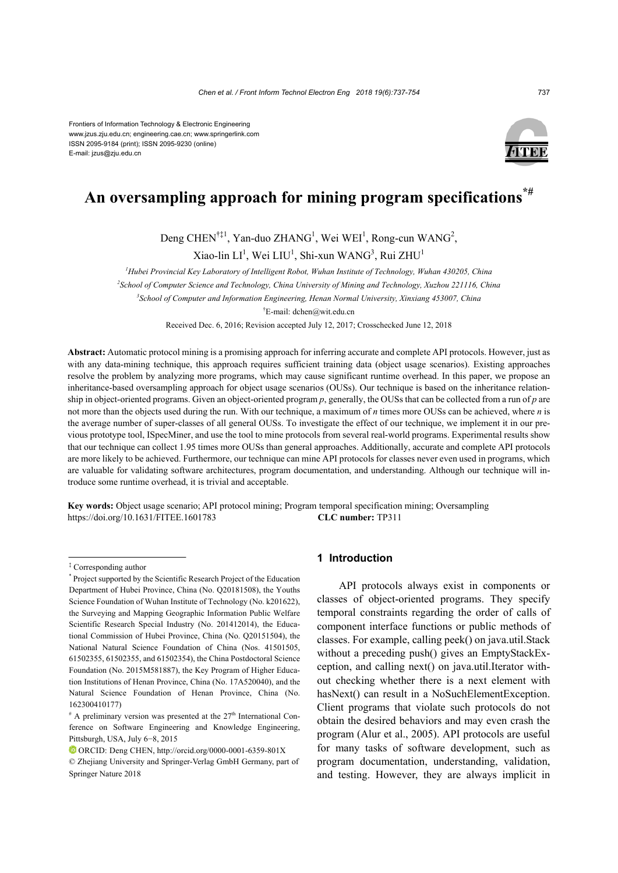Frontiers of Information Technology & Electronic Engineering www.jzus.zju.edu.cn; engineering.cae.cn; www.springerlink.com ISSN 2095-9184 (print); ISSN 2095-9230 (online) E-mail: jzus@zju.edu.cn



# **An oversampling approach for mining program specifications\*#**

Deng CHEN<sup>†‡1</sup>, Yan-duo ZHANG<sup>1</sup>, Wei WEI<sup>1</sup>, Rong-cun WANG<sup>2</sup>,

Xiao-lin  $LI^1$ , Wei  $LIU^1$ , Shi-xun WANG $^3$ , Rui ZHU $^1$ 

*1 Hubei Provincial Key Laboratory of Intelligent Robot, Wuhan Institute of Technology, Wuhan 430205, China 2 School of Computer Science and Technology, China University of Mining and Technology, Xuzhou 221116, China*

*3 School of Computer and Information Engineering, Henan Normal University, Xinxiang 453007, China*

† E-mail: dchen@wit.edu.cn

Received Dec. 6, 2016; Revision accepted July 12, 2017; Crosschecked June 12, 2018

**Abstract:** Automatic protocol mining is a promising approach for inferring accurate and complete API protocols. However, just as with any data-mining technique, this approach requires sufficient training data (object usage scenarios). Existing approaches resolve the problem by analyzing more programs, which may cause significant runtime overhead. In this paper, we propose an inheritance-based oversampling approach for object usage scenarios (OUSs). Our technique is based on the inheritance relationship in object-oriented programs. Given an object-oriented program *p*, generally, the OUSs that can be collected from a run of *p* are not more than the objects used during the run. With our technique, a maximum of *n* times more OUSs can be achieved, where *n* is the average number of super-classes of all general OUSs. To investigate the effect of our technique, we implement it in our previous prototype tool, ISpecMiner, and use the tool to mine protocols from several real-world programs. Experimental results show that our technique can collect 1.95 times more OUSs than general approaches. Additionally, accurate and complete API protocols are more likely to be achieved. Furthermore, our technique can mine API protocols for classes never even used in programs, which are valuable for validating software architectures, program documentation, and understanding. Although our technique will introduce some runtime overhead, it is trivial and acceptable.

**Key words:** Object usage scenario; API protocol mining; Program temporal specification mining; Oversampling https://doi.org/10.1631/FITEE.1601783 **CLC number:** TP311

# **1 Introduction**

API protocols always exist in components or classes of object-oriented programs. They specify temporal constraints regarding the order of calls of component interface functions or public methods of classes. For example, calling peek() on java.util.Stack without a preceding push() gives an EmptyStackException, and calling next() on java.util.Iterator without checking whether there is a next element with hasNext() can result in a NoSuchElementException. Client programs that violate such protocols do not obtain the desired behaviors and may even crash the program (Alur et al., 2005). API protocols are useful for many tasks of software development, such as program documentation, understanding, validation, and testing. However, they are always implicit in

<sup>‡</sup> Corresponding author

<sup>\*</sup> Project supported by the Scientific Research Project of the Education Department of Hubei Province, China (No. Q20181508), the Youths Science Foundation of Wuhan Institute of Technology (No. k201622), the Surveying and Mapping Geographic Information Public Welfare Scientific Research Special Industry (No. 201412014), the Educational Commission of Hubei Province, China (No. Q20151504), the National Natural Science Foundation of China (Nos. 41501505, 61502355, 61502355, and 61502354), the China Postdoctoral Science Foundation (No. 2015M581887), the Key Program of Higher Education Institutions of Henan Province, China (No. 17A520040), and the Natural Science Foundation of Henan Province, China (No. 162300410177)

 $*$  A preliminary version was presented at the 27<sup>th</sup> International Conference on Software Engineering and Knowledge Engineering, Pittsburgh, USA, July 6−8, 2015

ORCID: Deng CHEN, http://orcid.org/0000-0001-6359-801X

<sup>©</sup> Zhejiang University and Springer-Verlag GmbH Germany, part of Springer Nature 2018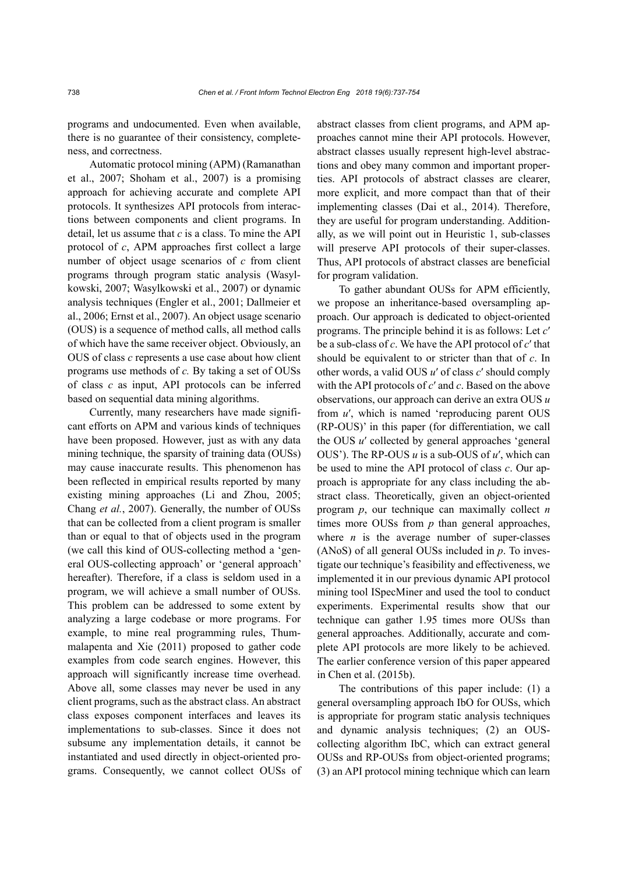programs and undocumented. Even when available, there is no guarantee of their consistency, completeness, and correctness.

Automatic protocol mining (APM) (Ramanathan et al., 2007; Shoham et al., 2007) is a promising approach for achieving accurate and complete API protocols. It synthesizes API protocols from interactions between components and client programs. In detail, let us assume that *c* is a class. To mine the API protocol of *c*, APM approaches first collect a large number of object usage scenarios of *c* from client programs through program static analysis (Wasylkowski, 2007; Wasylkowski et al., 2007) or dynamic analysis techniques (Engler et al., 2001; Dallmeier et al., 2006; Ernst et al., 2007). An object usage scenario (OUS) is a sequence of method calls, all method calls of which have the same receiver object. Obviously, an OUS of class *c* represents a use case about how client programs use methods of *c.* By taking a set of OUSs of class *c* as input, API protocols can be inferred based on sequential data mining algorithms.

Currently, many researchers have made significant efforts on APM and various kinds of techniques have been proposed. However, just as with any data mining technique, the sparsity of training data (OUSs) may cause inaccurate results. This phenomenon has been reflected in empirical results reported by many existing mining approaches (Li and Zhou, 2005; Chang *et al.*, 2007). Generally, the number of OUSs that can be collected from a client program is smaller than or equal to that of objects used in the program (we call this kind of OUS-collecting method a 'general OUS-collecting approach' or 'general approach' hereafter). Therefore, if a class is seldom used in a program, we will achieve a small number of OUSs. This problem can be addressed to some extent by analyzing a large codebase or more programs. For example, to mine real programming rules, Thummalapenta and Xie (2011) proposed to gather code examples from code search engines. However, this approach will significantly increase time overhead. Above all, some classes may never be used in any client programs, such as the abstract class. An abstract class exposes component interfaces and leaves its implementations to sub-classes. Since it does not subsume any implementation details, it cannot be instantiated and used directly in object-oriented programs. Consequently, we cannot collect OUSs of abstract classes from client programs, and APM approaches cannot mine their API protocols. However, abstract classes usually represent high-level abstractions and obey many common and important properties. API protocols of abstract classes are clearer, more explicit, and more compact than that of their implementing classes (Dai et al., 2014). Therefore, they are useful for program understanding. Additionally, as we will point out in Heuristic 1, sub-classes will preserve API protocols of their super-classes. Thus, API protocols of abstract classes are beneficial for program validation.

To gather abundant OUSs for APM efficiently, we propose an inheritance-based oversampling approach. Our approach is dedicated to object-oriented programs. The principle behind it is as follows: Let *c*′ be a sub-class of *c*. We have the API protocol of *c*′ that should be equivalent to or stricter than that of *c*. In other words, a valid OUS *u*′ of class *c*′ should comply with the API protocols of *c*′ and *c*. Based on the above observations, our approach can derive an extra OUS *u* from *u*′, which is named 'reproducing parent OUS (RP-OUS)' in this paper (for differentiation, we call the OUS *u*′ collected by general approaches 'general OUS'). The RP-OUS *u* is a sub-OUS of *u*′, which can be used to mine the API protocol of class *c*. Our approach is appropriate for any class including the abstract class. Theoretically, given an object-oriented program *p*, our technique can maximally collect *n* times more OUSs from *p* than general approaches, where  $n$  is the average number of super-classes (ANoS) of all general OUSs included in *p*. To investigate our technique's feasibility and effectiveness, we implemented it in our previous dynamic API protocol mining tool ISpecMiner and used the tool to conduct experiments. Experimental results show that our technique can gather 1.95 times more OUSs than general approaches. Additionally, accurate and complete API protocols are more likely to be achieved. The earlier conference version of this paper appeared in Chen et al. (2015b).

The contributions of this paper include: (1) a general oversampling approach IbO for OUSs, which is appropriate for program static analysis techniques and dynamic analysis techniques; (2) an OUScollecting algorithm IbC, which can extract general OUSs and RP-OUSs from object-oriented programs; (3) an API protocol mining technique which can learn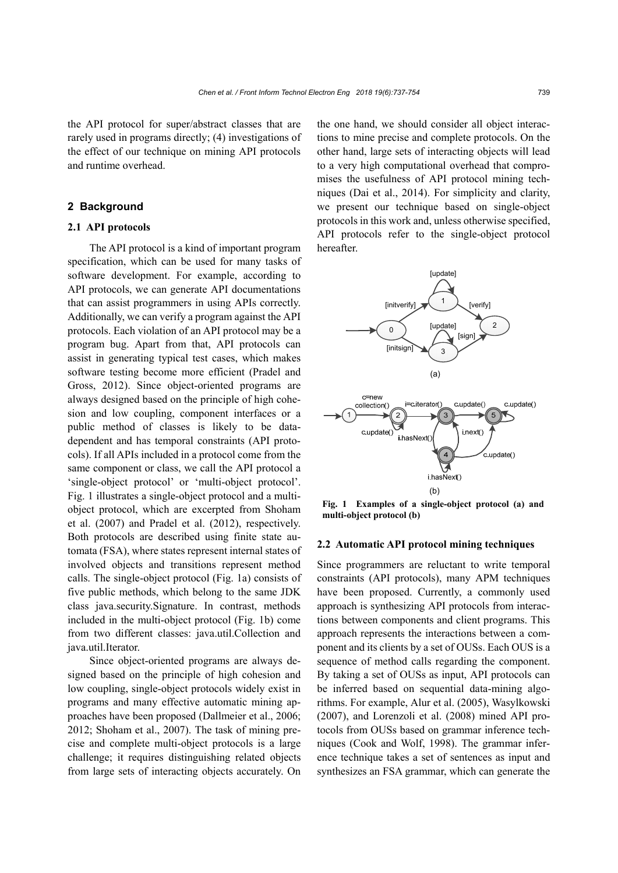the API protocol for super/abstract classes that are rarely used in programs directly; (4) investigations of the effect of our technique on mining API protocols and runtime overhead.

# **2 Background**

# **2.1 API protocols**

The API protocol is a kind of important program specification, which can be used for many tasks of software development. For example, according to API protocols, we can generate API documentations that can assist programmers in using APIs correctly. Additionally, we can verify a program against the API protocols. Each violation of an API protocol may be a program bug. Apart from that, API protocols can assist in generating typical test cases, which makes software testing become more efficient (Pradel and Gross, 2012). Since object-oriented programs are always designed based on the principle of high cohesion and low coupling, component interfaces or a public method of classes is likely to be datadependent and has temporal constraints (API protocols). If all APIs included in a protocol come from the same component or class, we call the API protocol a 'single-object protocol' or 'multi-object protocol'. Fig. 1 illustrates a single-object protocol and a multiobject protocol, which are excerpted from Shoham et al. (2007) and Pradel et al. (2012), respectively. Both protocols are described using finite state automata (FSA), where states represent internal states of involved objects and transitions represent method calls. The single-object protocol (Fig. 1a) consists of five public methods, which belong to the same JDK class java.security.Signature. In contrast, methods included in the multi-object protocol (Fig. 1b) come from two different classes: java.util.Collection and java.util.Iterator.

Since object-oriented programs are always designed based on the principle of high cohesion and low coupling, single-object protocols widely exist in programs and many effective automatic mining approaches have been proposed (Dallmeier et al., 2006; 2012; Shoham et al., 2007). The task of mining precise and complete multi-object protocols is a large challenge; it requires distinguishing related objects from large sets of interacting objects accurately. On the one hand, we should consider all object interactions to mine precise and complete protocols. On the other hand, large sets of interacting objects will lead to a very high computational overhead that compromises the usefulness of API protocol mining techniques (Dai et al., 2014). For simplicity and clarity, we present our technique based on single-object protocols in this work and, unless otherwise specified, API protocols refer to the single-object protocol hereafter.



**Fig. 1 Examples of a single-object protocol (a) and multi-object protocol (b)**

#### **2.2 Automatic API protocol mining techniques**

Since programmers are reluctant to write temporal constraints (API protocols), many APM techniques have been proposed. Currently, a commonly used approach is synthesizing API protocols from interactions between components and client programs. This approach represents the interactions between a component and its clients by a set of OUSs. Each OUS is a sequence of method calls regarding the component. By taking a set of OUSs as input, API protocols can be inferred based on sequential data-mining algorithms. For example, Alur et al. (2005), Wasylkowski (2007), and Lorenzoli et al. (2008) mined API protocols from OUSs based on grammar inference techniques (Cook and Wolf, 1998). The grammar inference technique takes a set of sentences as input and synthesizes an FSA grammar, which can generate the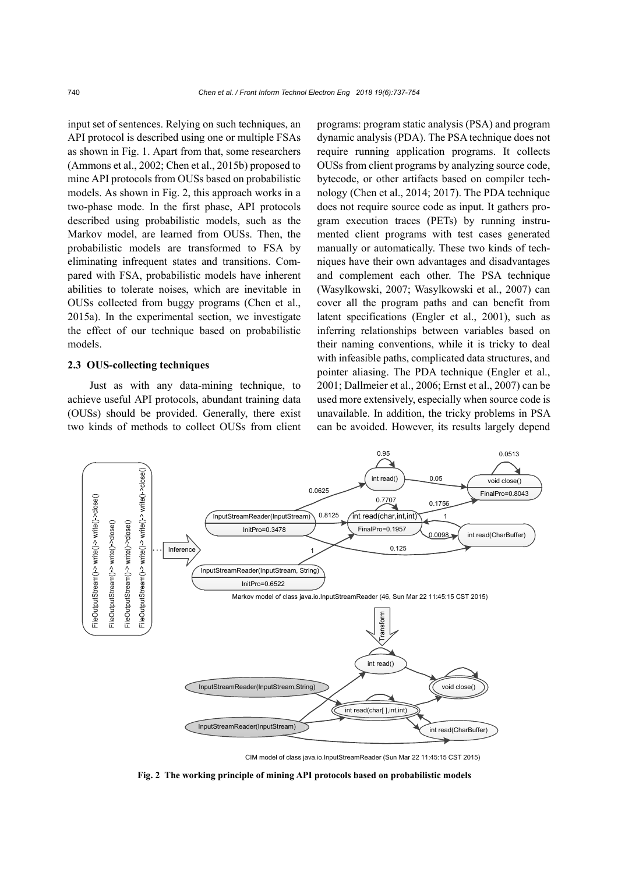input set of sentences. Relying on such techniques, an API protocol is described using one or multiple FSAs as shown in Fig. 1. Apart from that, some researchers (Ammons et al., 2002; Chen et al., 2015b) proposed to mine API protocols from OUSs based on probabilistic models. As shown in Fig. 2, this approach works in a two-phase mode. In the first phase, API protocols described using probabilistic models, such as the Markov model, are learned from OUSs. Then, the probabilistic models are transformed to FSA by eliminating infrequent states and transitions. Compared with FSA, probabilistic models have inherent abilities to tolerate noises, which are inevitable in OUSs collected from buggy programs (Chen et al., 2015a). In the experimental section, we investigate the effect of our technique based on probabilistic models.

# **2.3 OUS-collecting techniques**

Just as with any data-mining technique, to achieve useful API protocols, abundant training data (OUSs) should be provided. Generally, there exist two kinds of methods to collect OUSs from client programs: program static analysis (PSA) and program dynamic analysis (PDA). The PSA technique does not require running application programs. It collects OUSs from client programs by analyzing source code, bytecode, or other artifacts based on compiler technology (Chen et al., 2014; 2017). The PDA technique does not require source code as input. It gathers program execution traces (PETs) by running instrumented client programs with test cases generated manually or automatically. These two kinds of techniques have their own advantages and disadvantages and complement each other. The PSA technique (Wasylkowski, 2007; Wasylkowski et al., 2007) can cover all the program paths and can benefit from latent specifications (Engler et al., 2001), such as inferring relationships between variables based on their naming conventions, while it is tricky to deal with infeasible paths, complicated data structures, and pointer aliasing. The PDA technique (Engler et al., 2001; Dallmeier et al., 2006; Ernst et al., 2007) can be used more extensively, especially when source code is unavailable. In addition, the tricky problems in PSA can be avoided. However, its results largely depend



CIM model of class java.io.InputStreamReader (Sun Mar 22 11:45:15 CST 2015)

**Fig. 2 The working principle of mining API protocols based on probabilistic models**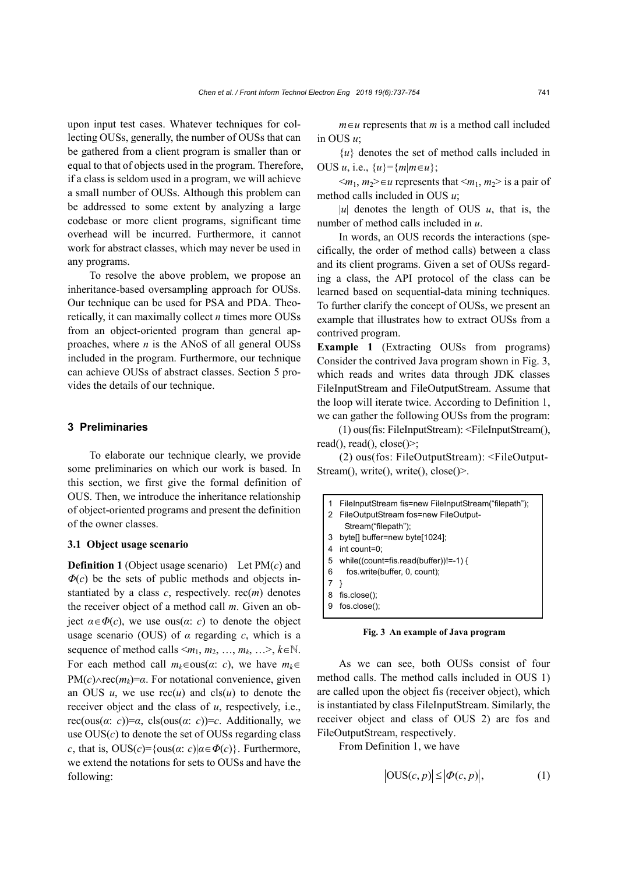upon input test cases. Whatever techniques for collecting OUSs, generally, the number of OUSs that can be gathered from a client program is smaller than or equal to that of objects used in the program. Therefore, if a class is seldom used in a program, we will achieve a small number of OUSs. Although this problem can be addressed to some extent by analyzing a large codebase or more client programs, significant time overhead will be incurred. Furthermore, it cannot work for abstract classes, which may never be used in any programs.

To resolve the above problem, we propose an inheritance-based oversampling approach for OUSs. Our technique can be used for PSA and PDA. Theoretically, it can maximally collect *n* times more OUSs from an object-oriented program than general approaches, where *n* is the ANoS of all general OUSs included in the program. Furthermore, our technique can achieve OUSs of abstract classes. Section 5 provides the details of our technique.

# **3 Preliminaries**

To elaborate our technique clearly, we provide some preliminaries on which our work is based. In this section, we first give the formal definition of OUS. Then, we introduce the inheritance relationship of object-oriented programs and present the definition of the owner classes.

#### **3.1 Object usage scenario**

**Definition 1** (Object usage scenario) Let PM(*c*) and  $\Phi(c)$  be the sets of public methods and objects instantiated by a class  $c$ , respectively. rec $(m)$  denotes the receiver object of a method call *m*. Given an object  $\alpha \in \Phi(c)$ , we use ous( $\alpha$ : *c*) to denote the object usage scenario (OUS) of *α* regarding *c*, which is a sequence of method calls  $\leq m_1, m_2, ..., m_k, \ldots > k \in \mathbb{N}$ . For each method call  $m_k \in \text{ous}(a: c)$ , we have  $m_k \in$  $PM(c) \wedge rec(m_k) = \alpha$ . For notational convenience, given an OUS  $u$ , we use  $\operatorname{rec}(u)$  and  $\operatorname{cls}(u)$  to denote the receiver object and the class of *u*, respectively, i.e., rec(ous(*α*: *c*))=*α*, cls(ous(*α*: *c*))=*c*. Additionally, we use  $OUS(c)$  to denote the set of OUSs regarding class *c*, that is,  $OUS(c) = \{ous(\alpha : c) | \alpha \in \Phi(c) \}$ . Furthermore, we extend the notations for sets to OUSs and have the following:

 $m \in u$  represents that *m* is a method call included in OUS *u*;

 ${u}$  denotes the set of method calls included in OUS *u*, i.e.,  $\{u\} = \{m | m \in u\}$ ;

 $\langle m_1, m_2 \rangle \in \mathcal{U}$  represents that  $\langle m_1, m_2 \rangle$  is a pair of method calls included in OUS *u*;

| $|u|$  denotes the length of OUS  $u$ , that is, the number of method calls included in *u*.

In words, an OUS records the interactions (specifically, the order of method calls) between a class and its client programs. Given a set of OUSs regarding a class, the API protocol of the class can be learned based on sequential-data mining techniques. To further clarify the concept of OUSs, we present an example that illustrates how to extract OUSs from a contrived program.

**Example 1** (Extracting OUSs from programs) Consider the contrived Java program shown in Fig. 3, which reads and writes data through JDK classes FileInputStream and FileOutputStream. Assume that the loop will iterate twice. According to Definition 1, we can gather the following OUSs from the program:

(1) ous(fis: FileInputStream): <FileInputStream(), read(), read(), close()>;

(2) ous(fos: FileOutputStream): <FileOutput-Stream(), write(), write(), close()>.

| 1 | FileInputStream fis=new FileInputStream("filepath");<br>2 FileOutputStream fos=new FileOutput- |
|---|------------------------------------------------------------------------------------------------|
|   | Stream("filepath");                                                                            |
|   | 3 bytell buffer=new byte[1024];                                                                |
| 4 | int count=0:                                                                                   |
| 5 | while((count=fis.read(buffer))!=-1) {                                                          |
| 6 | fos.write(buffer, 0, count);                                                                   |
|   |                                                                                                |
| 8 | $f$ is.close $()$ ;                                                                            |
| 9 | $f$ os.close $()$ ;                                                                            |
|   |                                                                                                |

**Fig. 3 An example of Java program**

As we can see, both OUSs consist of four method calls. The method calls included in OUS 1) are called upon the object fis (receiver object), which is instantiated by class FileInputStream. Similarly, the receiver object and class of OUS 2) are fos and FileOutputStream, respectively.

From Definition 1, we have

$$
|\text{OUS}(c, p)| \le |\phi(c, p)|,\tag{1}
$$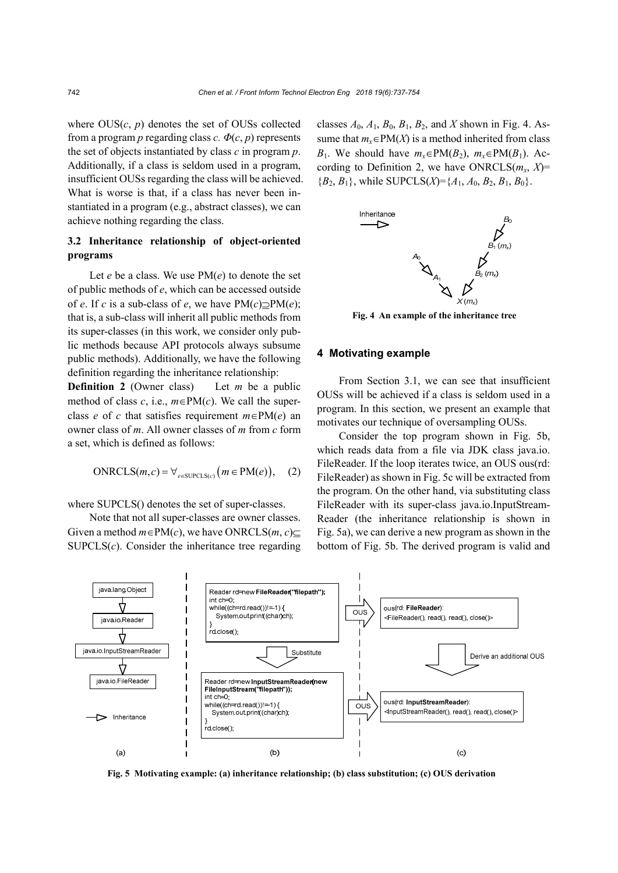where  $OUS(c, p)$  denotes the set of OUSs collected from a program *p* regarding class *c*.  $\Phi(c, p)$  represents the set of objects instantiated by class *c* in program *p*. Additionally, if a class is seldom used in a program, insufficient OUSs regarding the class will be achieved. What is worse is that, if a class has never been instantiated in a program (e.g., abstract classes), we can achieve nothing regarding the class.

# **3.2 Inheritance relationship of object-oriented programs**

Let *e* be a class. We use PM(*e*) to denote the set of public methods of *e*, which can be accessed outside of *e*. If *c* is a sub-class of *e*, we have  $PM(c) \supset PM(e)$ ; that is, a sub-class will inherit all public methods from its super-classes (in this work, we consider only public methods because API protocols always subsume public methods). Additionally, we have the following definition regarding the inheritance relationship:

**Definition 2** (Owner class) Let *m* be a public method of class  $c$ , i.e.,  $m \in PM(c)$ . We call the superclass *e* of *c* that satisfies requirement  $m \in PM(e)$  and owner class of *m*. All owner classes of *m* from *c* form a set, which is defined as follows:

$$
ONRCLS(m, c) = \forall_{e \in SUBCLS(c)} \big( m \in PM(e) \big), \quad (2)
$$

where SUPCLS() denotes the set of super-classes.

Note that not all super-classes are owner classes. Given a method  $m \in PM(c)$ , we have ONRCLS $(m, c)$  $\text{SUPCLS}(c)$ . Consider the inheritance tree regarding classes  $A_0$ ,  $A_1$ ,  $B_0$ ,  $B_1$ ,  $B_2$ , and X shown in Fig. 4. Assume that  $m_x \in PM(X)$  is a method inherited from class *B*<sub>1</sub>. We should have  $m_x \in PM(B_2)$ ,  $m_x \in PM(B_1)$ . According to Definition 2, we have ONRCLS $(m_x, X)$ =  ${B_2, B_1}$ , while SUPCLS(*X*)={ $A_1, A_0, B_2, B_1, B_0$ }.



**Fig. 4 An example of the inheritance tree**

# **4 Motivating example**

From Section 3.1, we can see that insufficient OUSs will be achieved if a class is seldom used in a program. In this section, we present an example that motivates our technique of oversampling OUSs.

Consider the top program shown in Fig. 5b, which reads data from a file via JDK class java.io. FileReader. If the loop iterates twice, an OUS ous(rd: FileReader) as shown in Fig. 5c will be extracted from the program. On the other hand, via substituting class FileReader with its super-class java.io.InputStream-Reader (the inheritance relationship is shown in Fig. 5a), we can derive a new program as shown in the bottom of Fig. 5b. The derived program is valid and



**Fig. 5 Motivating example: (a) inheritance relationship; (b) class substitution; (c) OUS derivation**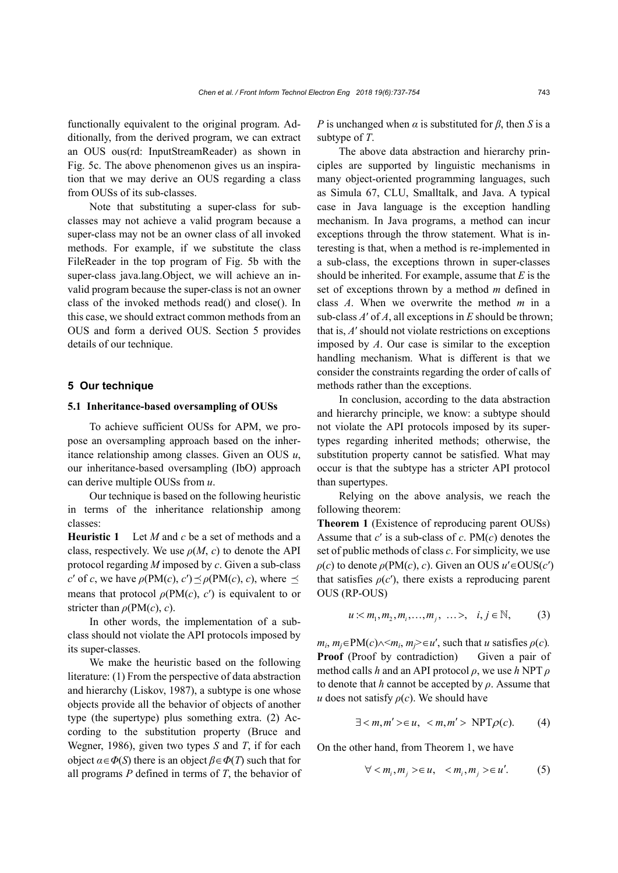functionally equivalent to the original program. Additionally, from the derived program, we can extract an OUS ous(rd: InputStreamReader) as shown in Fig. 5c. The above phenomenon gives us an inspiration that we may derive an OUS regarding a class from OUSs of its sub-classes.

Note that substituting a super-class for subclasses may not achieve a valid program because a super-class may not be an owner class of all invoked methods. For example, if we substitute the class FileReader in the top program of Fig. 5b with the super-class java.lang.Object, we will achieve an invalid program because the super-class is not an owner class of the invoked methods read() and close(). In this case, we should extract common methods from an OUS and form a derived OUS. Section 5 provides details of our technique.

# **5 Our technique**

#### **5.1 Inheritance-based oversampling of OUSs**

To achieve sufficient OUSs for APM, we propose an oversampling approach based on the inheritance relationship among classes. Given an OUS *u*, our inheritance-based oversampling (IbO) approach can derive multiple OUSs from *u*.

Our technique is based on the following heuristic in terms of the inheritance relationship among classes:

**Heuristic 1** Let *M* and *c* be a set of methods and a class, respectively. We use  $\rho(M, c)$  to denote the API protocol regarding *M* imposed by *c*. Given a sub-class *c'* of *c*, we have  $\rho(PM(c), c') \leq \rho(PM(c), c)$ , where  $\leq$ means that protocol  $\rho(PM(c), c')$  is equivalent to or stricter than *ρ*(PM(*c*), *c*).

In other words, the implementation of a subclass should not violate the API protocols imposed by its super-classes.

We make the heuristic based on the following literature: (1) From the perspective of data abstraction and hierarchy (Liskov, 1987), a subtype is one whose objects provide all the behavior of objects of another type (the supertype) plus something extra. (2) According to the substitution property (Bruce and Wegner, 1986), given two types *S* and *T*, if for each object  $\alpha \in \Phi(S)$  there is an object  $\beta \in \Phi(T)$  such that for all programs *P* defined in terms of *T*, the behavior of *P* is unchanged when  $\alpha$  is substituted for  $\beta$ , then *S* is a subtype of *T*.

The above data abstraction and hierarchy principles are supported by linguistic mechanisms in many object-oriented programming languages, such as Simula 67, CLU, Smalltalk, and Java. A typical case in Java language is the exception handling mechanism. In Java programs, a method can incur exceptions through the throw statement. What is interesting is that, when a method is re-implemented in a sub-class, the exceptions thrown in super-classes should be inherited. For example, assume that *E* is the set of exceptions thrown by a method *m* defined in class *A*. When we overwrite the method *m* in a sub-class *A*′ of *A*, all exceptions in *E* should be thrown; that is, *A*′ should not violate restrictions on exceptions imposed by *A*. Our case is similar to the exception handling mechanism. What is different is that we consider the constraints regarding the order of calls of methods rather than the exceptions.

In conclusion, according to the data abstraction and hierarchy principle, we know: a subtype should not violate the API protocols imposed by its supertypes regarding inherited methods; otherwise, the substitution property cannot be satisfied. What may occur is that the subtype has a stricter API protocol than supertypes.

Relying on the above analysis, we reach the following theorem:

**Theorem 1** (Existence of reproducing parent OUSs) Assume that *c*′ is a sub-class of *c*. PM(*c*) denotes the set of public methods of class *c*. For simplicity, we use  $\rho(c)$  to denote  $\rho(PM(c), c)$ . Given an OUS  $u' \in OUS(c')$ that satisfies  $\rho(c')$ , there exists a reproducing parent OUS (RP-OUS)

$$
u < m_1, m_2, m_i, \dots, m_j, \dots > , \quad i, j \in \mathbb{N}, \tag{3}
$$

 $m_i$ ,  $m_i \in PM(c) \land \leq m_i$ ,  $m_i \geq \in u'$ , such that *u* satisfies  $\rho(c)$ . **Proof** (Proof by contradiction) Given a pair of method calls *h* and an API protocol *ρ*, we use *h* NPT *ρ* to denote that *h* cannot be accepted by *ρ*. Assume that *u* does not satisfy  $\rho(c)$ . We should have

$$
\exists  \in u,  \text{NPT}\rho(c). \tag{4}
$$

On the other hand, from Theorem 1, we have

$$
\forall < m_i, m_j > \in u, \quad < m_i, m_j > \in u'. \tag{5}
$$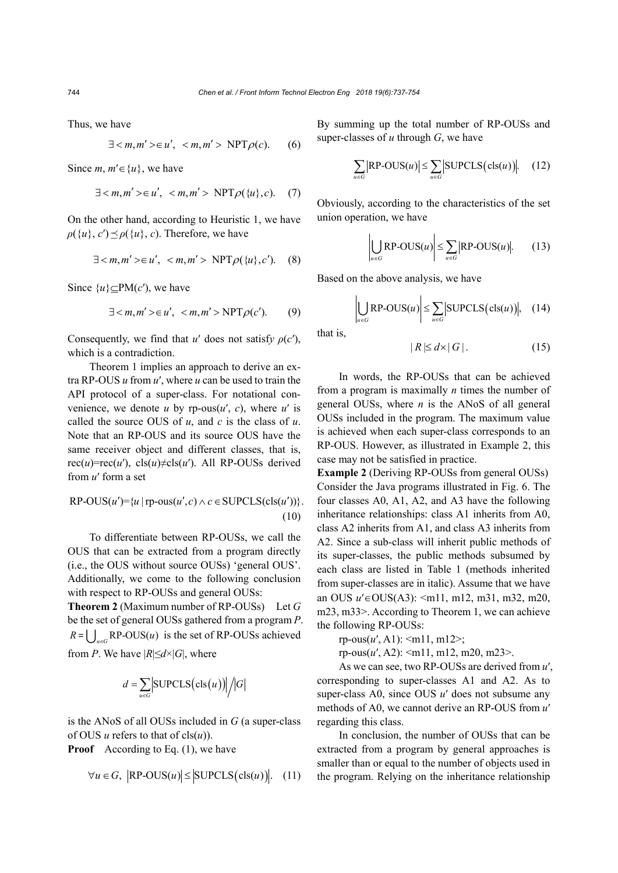Thus, we have

$$
\exists \in u', \text{NPT}\rho(c).
$$
 (6)

Since *m*,  $m' \in \{u\}$ , we have

$$
\exists \in u', \text{NPT}\rho(\{u\},c). \quad (7)
$$

On the other hand, according to Heuristic 1, we have  $\rho({u}, c') \leq \rho({u}, c)$ . Therefore, we have

$$
\exists \in u', \text{NPT}\rho(\{u\},c').
$$
 (8)

Since  $\{u\} \subset PM(c')$ , we have

$$
\exists \in u', \text{NPT}\rho(c').
$$
 (9)

Consequently, we find that *u'* does not satisfy  $\rho(c')$ , which is a contradiction.

Theorem 1 implies an approach to derive an extra RP-OUS *u* from *u*′, where *u* can be used to train the API protocol of a super-class. For notational convenience, we denote  $u$  by rp-ous $(u', c)$ , where  $u'$  is called the source OUS of *u*, and *c* is the class of *u*. Note that an RP-OUS and its source OUS have the same receiver object and different classes, that is, rec(*u*)=rec(*u'*), cls(*u*) $\neq$ cls(*u'*). All RP-OUSs derived from *u*′ form a set

$$
RP-OUS(u') = \{u \mid rp\text{-}ous(u', c) \land c \in \text{SUPCLS}(\text{cls}(u'))\}.
$$
\n(10)

To differentiate between RP-OUSs, we call the OUS that can be extracted from a program directly (i.e., the OUS without source OUSs) 'general OUS'. Additionally, we come to the following conclusion with respect to RP-OUSs and general OUSs:

**Theorem 2** (Maximum number of RP-OUSs) Let *G* be the set of general OUSs gathered from a program *P*.  $R = \bigcup_{u \in G} RP\text{-}OUS(u)$  is the set of RP-OUSs achieved from *P*. We have  $|R| \leq d \times |G|$ , where

$$
d = \sum_{u \in G} | \text{SUPCLS}(\text{cls}(u)) | / |G|
$$

is the ANoS of all OUSs included in *G* (a super-class of OUS  $u$  refers to that of  $cls(u)$ .

**Proof** According to Eq. (1), we have

$$
\forall u \in G, \ |\text{RP-OUS}(u)| \le |\text{SUPCLS}(\text{cls}(u))|. \quad (11)
$$

By summing up the total number of RP-OUSs and super-classes of *u* through *G*, we have

$$
\sum_{u \in G} |\text{RP-OUS}(u)| \le \sum_{u \in G} |\text{SUPCLS}(\text{cls}(u))|.
$$
 (12)

Obviously, according to the characteristics of the set union operation, we have

$$
\left| \bigcup_{u \in G} \text{RP-OUS}(u) \right| \le \sum_{u \in G} |\text{RP-OUS}(u)|. \tag{13}
$$

Based on the above analysis, we have

$$
\left| \bigcup_{u \in G} \text{RP-OUS}(u) \right| \leq \sum_{u \in G} |\text{SUPCLS}(\text{cls}(u))|, \quad (14)
$$

that is,

$$
|R| \le d \times |G|.
$$
 (15)

In words, the RP-OUSs that can be achieved from a program is maximally *n* times the number of general OUSs, where *n* is the ANoS of all general OUSs included in the program. The maximum value is achieved when each super-class corresponds to an RP-OUS. However, as illustrated in Example 2, this case may not be satisfied in practice.

**Example 2** (Deriving RP-OUSs from general OUSs) Consider the Java programs illustrated in Fig. 6. The four classes A0, A1, A2, and A3 have the following inheritance relationships: class A1 inherits from A0, class A2 inherits from A1, and class A3 inherits from A2. Since a sub-class will inherit public methods of its super-classes, the public methods subsumed by each class are listed in Table 1 (methods inherited from super-classes are in italic). Assume that we have an OUS  $u' \in OUS(A3)$ :  $\leq m11$ , m12, m31, m32, m20, m23, m33>. According to Theorem 1, we can achieve the following RP-OUSs:

rp-ous(
$$
u'
$$
, A1):  $\langle m11, m12 \rangle$ ;

rp-ous(*u*′, A2): <m11, m12, m20, m23>.

As we can see, two RP-OUSs are derived from *u*′, corresponding to super-classes A1 and A2. As to super-class A0, since OUS *u*′ does not subsume any methods of A0, we cannot derive an RP-OUS from *u*′ regarding this class.

In conclusion, the number of OUSs that can be extracted from a program by general approaches is smaller than or equal to the number of objects used in the program. Relying on the inheritance relationship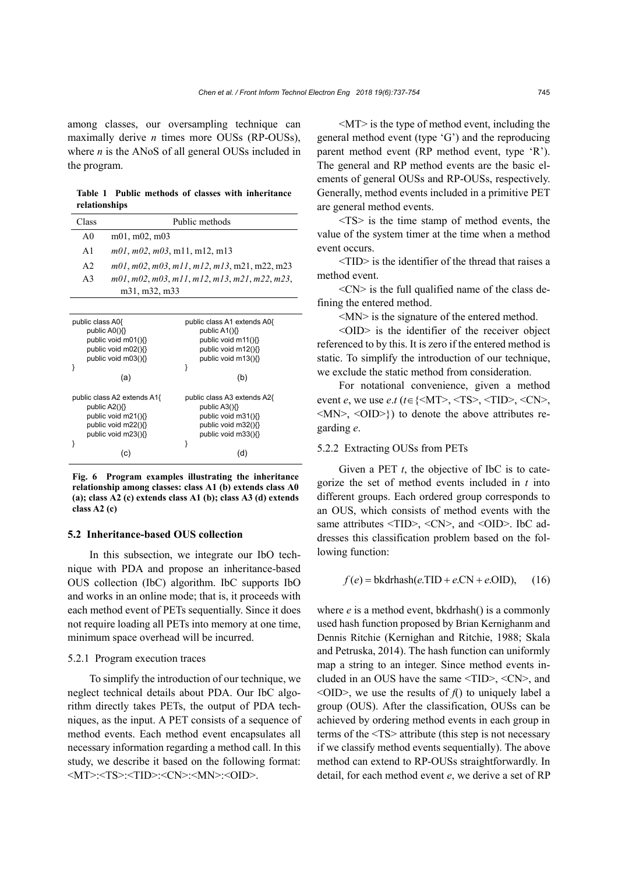among classes, our oversampling technique can maximally derive *n* times more OUSs (RP-OUSs), where *n* is the ANoS of all general OUSs included in the program.

**Table 1 Public methods of classes with inheritance relationships** 

| Class          | Public methods                                      |
|----------------|-----------------------------------------------------|
| A0             | m01, m02, m03                                       |
| A <sub>1</sub> | m01, m02, m03, m11, m12, m13                        |
| A <sub>2</sub> | $m01, m02, m03, m11, m12, m13, m21, m22, m23$       |
| A <sub>3</sub> | $m01, m02, m03, m11, m12, m13, m21, m22, m23,$      |
|                | m <sub>31</sub> , m <sub>32</sub> , m <sub>33</sub> |

| public class A0{                                                                                                  | public class A1 extends A0{                                                                                       |
|-------------------------------------------------------------------------------------------------------------------|-------------------------------------------------------------------------------------------------------------------|
| public $AO(\mathcal{X})$                                                                                          | public A1(){}                                                                                                     |
| public void m01(){}                                                                                               | public void m11(){}                                                                                               |
| public void m02(){}                                                                                               | public void m12(){}                                                                                               |
| public void m03(){}                                                                                               | public void m13(){}                                                                                               |
|                                                                                                                   | ł                                                                                                                 |
| (a)                                                                                                               | (b)                                                                                                               |
| public class A2 extends A1{<br>public $A2()$<br>public void m21(){}<br>public void m22(){}<br>public void m23(){} | public class A3 extends A2{<br>public $A3()$<br>public void m31(){}<br>public void m32(){}<br>public void m33(){} |
| (C)                                                                                                               | (d                                                                                                                |
|                                                                                                                   |                                                                                                                   |

**Fig. 6 Program examples illustrating the inheritance relationship among classes: class A1 (b) extends class A0 (a); class A2 (c) extends class A1 (b); class A3 (d) extends class A2 (c)**

#### **5.2 Inheritance-based OUS collection**

In this subsection, we integrate our IbO technique with PDA and propose an inheritance-based OUS collection (IbC) algorithm. IbC supports IbO and works in an online mode; that is, it proceeds with each method event of PETs sequentially. Since it does not require loading all PETs into memory at one time, minimum space overhead will be incurred.

# 5.2.1 Program execution traces

To simplify the introduction of our technique, we neglect technical details about PDA. Our IbC algorithm directly takes PETs, the output of PDA techniques, as the input. A PET consists of a sequence of method events. Each method event encapsulates all necessary information regarding a method call. In this study, we describe it based on the following format: <MT>:<TS>:<TID>:<CN>:<MN>:<OID>.

<MT> is the type of method event, including the general method event (type 'G') and the reproducing parent method event (RP method event, type 'R'). The general and RP method events are the basic elements of general OUSs and RP-OUSs, respectively. Generally, method events included in a primitive PET are general method events.

<TS> is the time stamp of method events, the value of the system timer at the time when a method event occurs.

<TID> is the identifier of the thread that raises a method event.

 $<$ CN $>$  is the full qualified name of the class defining the entered method.

<MN> is the signature of the entered method.

<OID> is the identifier of the receiver object referenced to by this. It is zero if the entered method is static. To simplify the introduction of our technique, we exclude the static method from consideration.

For notational convenience, given a method event *e*, we use *e.t* ( $t \in \{\leq M\}$ ),  $\leq$ TS),  $\leq$ TID),  $\leq$ CN),  $\langle MN \rangle$ ,  $\langle OID \rangle$ }) to denote the above attributes regarding *e*.

# 5.2.2 Extracting OUSs from PETs

Given a PET  $t$ , the objective of IbC is to categorize the set of method events included in *t* into different groups. Each ordered group corresponds to an OUS, which consists of method events with the same attributes <TID>, <CN>, and <OID>. IbC addresses this classification problem based on the following function:

$$
f(e) = \text{bkdrhash}(e.\text{TID} + e.\text{CN} + e.\text{OID}), \quad (16)
$$

where *e* is a method event, bkdrhash() is a commonly used hash function proposed by Brian Kernighanm and Dennis Ritchie (Kernighan and Ritchie, 1988; Skala and Petruska, 2014). The hash function can uniformly map a string to an integer. Since method events included in an OUS have the same <TID>, <CN>, and  $\langle$ OID $>$ , we use the results of  $f()$  to uniquely label a group (OUS). After the classification, OUSs can be achieved by ordering method events in each group in terms of the <TS> attribute (this step is not necessary if we classify method events sequentially). The above method can extend to RP-OUSs straightforwardly. In detail, for each method event *e*, we derive a set of RP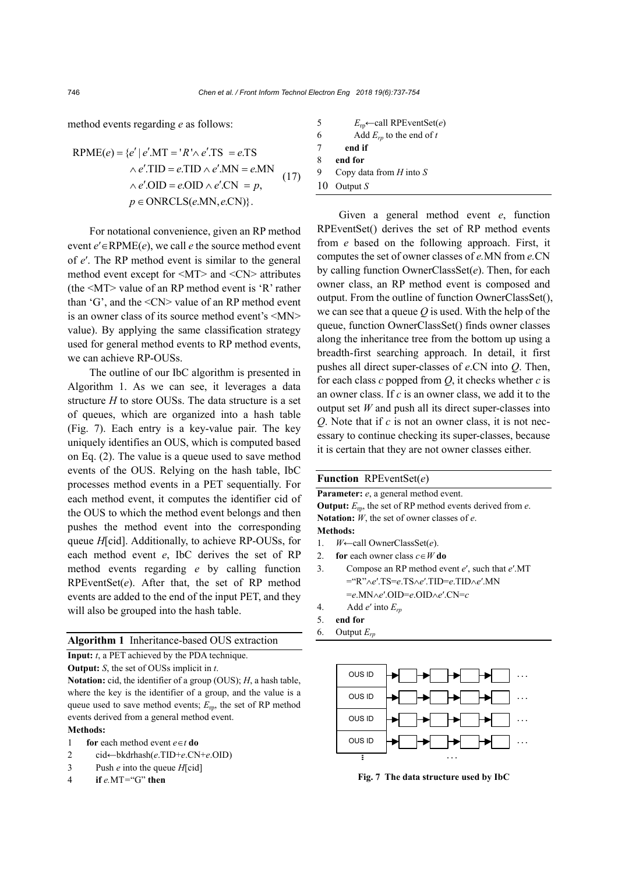method events regarding *e* as follows:

$$
RPME(e) = \{e' | e'.MT = 'R' \land e'.TS = e.TS
$$
  
 
$$
\land e'.TID = e.TID \land e'.MN = e.MN
$$
  
 
$$
\land e'.OID = e.OID \land e'.CN = p,
$$
  
 
$$
p \in ONRCLS(e.MN, e.CN)\}.
$$
 (17)

For notational convenience, given an RP method event  $e' \in \text{RPME}(e)$ , we call *e* the source method event of *e*′. The RP method event is similar to the general method event except for <MT> and <CN> attributes (the <MT> value of an RP method event is 'R' rather than 'G', and the <CN> value of an RP method event is an owner class of its source method event's <MN> value). By applying the same classification strategy used for general method events to RP method events, we can achieve RP-OUSs.

The outline of our IbC algorithm is presented in Algorithm 1. As we can see, it leverages a data structure *H* to store OUSs. The data structure is a set of queues, which are organized into a hash table (Fig. 7). Each entry is a key-value pair. The key uniquely identifies an OUS, which is computed based on Eq. (2). The value is a queue used to save method events of the OUS. Relying on the hash table, IbC processes method events in a PET sequentially. For each method event, it computes the identifier cid of the OUS to which the method event belongs and then pushes the method event into the corresponding queue *H*[cid]. Additionally, to achieve RP-OUSs, for each method event *e*, IbC derives the set of RP method events regarding *e* by calling function RPEventSet(*e*). After that, the set of RP method events are added to the end of the input PET, and they will also be grouped into the hash table.

# **Algorithm 1** Inheritance-based OUS extraction

**Input:** *t*, a PET achieved by the PDA technique.

**Output:** *S*, the set of OUSs implicit in *t*.

**Notation:** cid, the identifier of a group (OUS); *H*, a hash table, where the key is the identifier of a group, and the value is a queue used to save method events;  $E_{\text{rp}}$ , the set of RP method events derived from a general method event. **Methods:** 

- 1 **for** each method event  $e \in t$  **do**
- 2 cid←bkdrhash(*e*.TID+*e*.CN+*e*.OID)
- 3 Push *e* into the queue *H*[cid]
- 4**if** *e.*MT*=*"G" **then**

5 *E*rp←call RPEventSet(*e*) 6 Add  $E_{rp}$  to the end of *t* 7 **end if** 8 **end for** 9 Copy data from *H* into *S* 10 Output *S*

Given a general method event *e*, function RPEventSet() derives the set of RP method events from *e* based on the following approach. First, it computes the set of owner classes of *e.*MN from *e.*CN by calling function OwnerClassSet(*e*). Then, for each owner class, an RP method event is composed and output. From the outline of function OwnerClassSet(), we can see that a queue *Q* is used. With the help of the queue, function OwnerClassSet() finds owner classes along the inheritance tree from the bottom up using a breadth-first searching approach. In detail, it first pushes all direct super-classes of *e*.CN into *Q*. Then, for each class *c* popped from *Q*, it checks whether *c* is an owner class. If *c* is an owner class, we add it to the output set *W* and push all its direct super-classes into *Q*. Note that if *c* is not an owner class, it is not necessary to continue checking its super-classes, because it is certain that they are not owner classes either.

# **Function** RPEventSet(*e*)

| <b>Parameter:</b> e, a general method event.                             |
|--------------------------------------------------------------------------|
| <b>Output:</b> $E_{\rm m}$ , the set of RP method events derived from e. |
| <b>Notation:</b> $W$ , the set of owner classes of $e$ .                 |
| Methods:                                                                 |
|                                                                          |

- 1. *W*←call OwnerClassSet(*e*).
- 2. **for** each owner class  $c \in W$  **do**
- 3. Compose an RP method event *e*′, such that *e*′.MT ="R"*e*′.TS=*e*.TS*e*′.TID=*e*.TID*e*′.MN =*e*.MN*e*′.OID=*e*.OID*e*′.CN=*c*
- 4. Add *e*′ into *Erp*
- 5. **end for**
- 6. Output *Erp*



**Fig. 7 The data structure used by IbC**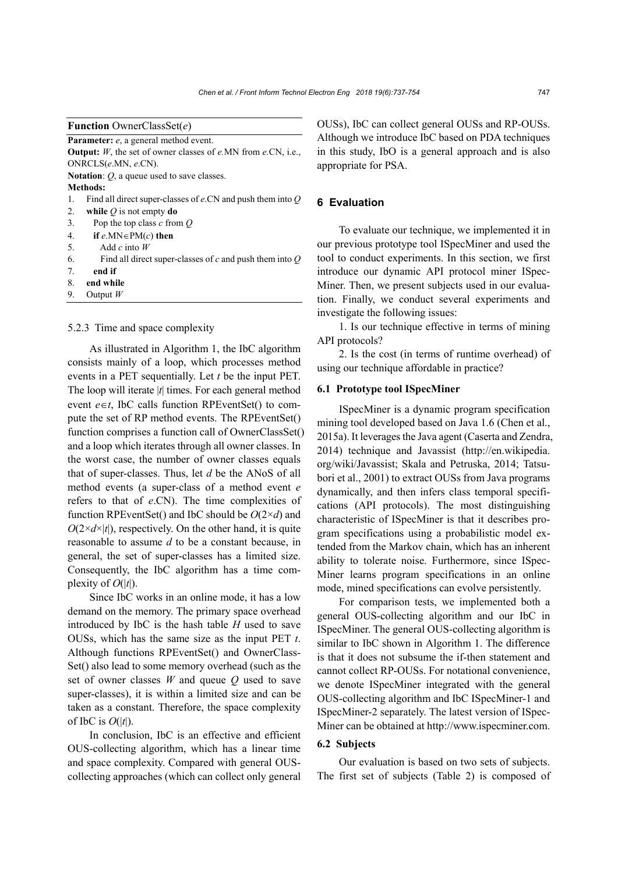Parameter: *e*, a general method event. **Output:** *W*, the set of owner classes of *e.*MN from *e.*CN, i.e., ONRCLS(*e*.MN, *e*.CN).

**Notation**: *Q*, a queue used to save classes.

#### **Methods:**

- 1. Find all direct super-classes of *e*.CN and push them into *Q*
- 2. **while** *Q* is not empty **do**
- 3. Pop the top class *c* from *Q*
- 4. **if**  $e.MN \in PM(c)$  **then**
- 5. Add *c* into *W*
- 6. Find all direct super-classes of *c* and push them into *Q*
- 7. **end if**
- 8. **end while**
- 9. Output *W*

#### 5.2.3 Time and space complexity

As illustrated in Algorithm 1, the IbC algorithm consists mainly of a loop, which processes method events in a PET sequentially. Let *t* be the input PET. The loop will iterate |*t*| times. For each general method event  $e \in t$ , IbC calls function RPEventSet() to compute the set of RP method events. The RPEventSet() function comprises a function call of OwnerClassSet() and a loop which iterates through all owner classes. In the worst case, the number of owner classes equals that of super-classes. Thus, let *d* be the ANoS of all method events (a super-class of a method event *e* refers to that of *e*.CN). The time complexities of function RPEventSet() and IbC should be *O*(2×*d*) and  $O(2 \times d \times |t|)$ , respectively. On the other hand, it is quite reasonable to assume *d* to be a constant because, in general, the set of super-classes has a limited size. Consequently, the IbC algorithm has a time complexity of  $O(|t|)$ .

Since IbC works in an online mode, it has a low demand on the memory. The primary space overhead introduced by IbC is the hash table *H* used to save OUSs, which has the same size as the input PET *t*. Although functions RPEventSet() and OwnerClass-Set() also lead to some memory overhead (such as the set of owner classes *W* and queue *Q* used to save super-classes), it is within a limited size and can be taken as a constant. Therefore, the space complexity of IbC is  $O(|t|)$ .

In conclusion, IbC is an effective and efficient OUS-collecting algorithm, which has a linear time and space complexity. Compared with general OUScollecting approaches (which can collect only general OUSs), IbC can collect general OUSs and RP-OUSs. Although we introduce IbC based on PDA techniques in this study, IbO is a general approach and is also appropriate for PSA.

# **6 Evaluation**

To evaluate our technique, we implemented it in our previous prototype tool ISpecMiner and used the tool to conduct experiments. In this section, we first introduce our dynamic API protocol miner ISpec-Miner. Then, we present subjects used in our evaluation. Finally, we conduct several experiments and investigate the following issues:

1. Is our technique effective in terms of mining API protocols?

2. Is the cost (in terms of runtime overhead) of using our technique affordable in practice?

#### **6.1 Prototype tool ISpecMiner**

ISpecMiner is a dynamic program specification mining tool developed based on Java 1.6 (Chen et al., 2015a). It leverages the Java agent (Caserta and Zendra, 2014) technique and Javassist (http://en.wikipedia. org/wiki/Javassist; Skala and Petruska, 2014; Tatsubori et al., 2001) to extract OUSs from Java programs dynamically, and then infers class temporal specifications (API protocols). The most distinguishing characteristic of ISpecMiner is that it describes program specifications using a probabilistic model extended from the Markov chain, which has an inherent ability to tolerate noise. Furthermore, since ISpec-Miner learns program specifications in an online mode, mined specifications can evolve persistently.

For comparison tests, we implemented both a general OUS-collecting algorithm and our IbC in ISpecMiner. The general OUS-collecting algorithm is similar to IbC shown in Algorithm 1. The difference is that it does not subsume the if-then statement and cannot collect RP-OUSs. For notational convenience, we denote ISpecMiner integrated with the general OUS-collecting algorithm and IbC ISpecMiner-1 and ISpecMiner-2 separately. The latest version of ISpec-Miner can be obtained at http://www.ispecminer.com.

# **6.2 Subjects**

Our evaluation is based on two sets of subjects. The first set of subjects (Table 2) is composed of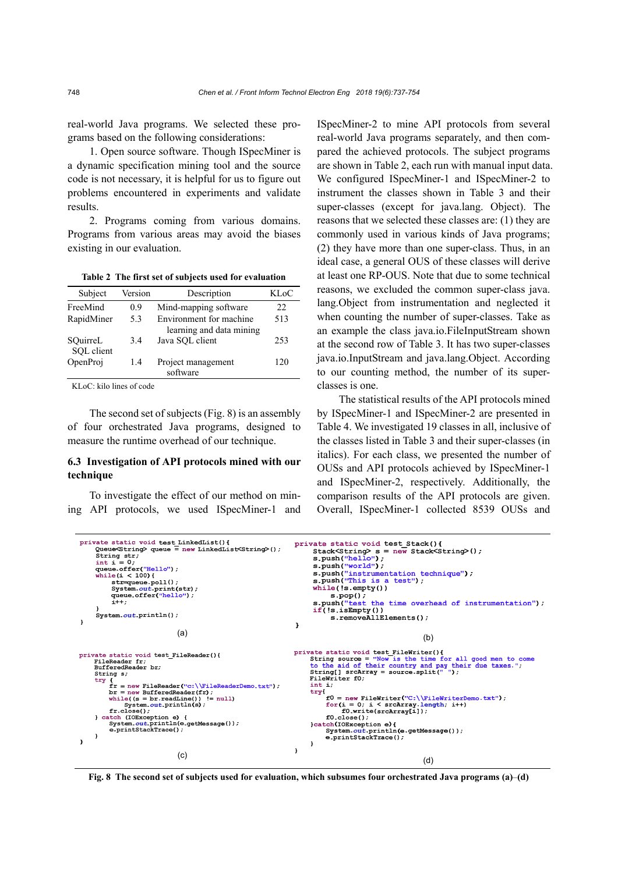real-world Java programs. We selected these programs based on the following considerations:

1. Open source software. Though ISpecMiner is a dynamic specification mining tool and the source code is not necessary, it is helpful for us to figure out problems encountered in experiments and validate results.

2. Programs coming from various domains. Programs from various areas may avoid the biases existing in our evaluation.

**Table 2 The first set of subjects used for evaluation**

| Subject                | Version | Description                                         | KL oC |
|------------------------|---------|-----------------------------------------------------|-------|
| FreeMind               | 09      | Mind-mapping software                               | 22    |
| RapidMiner             | 5.3     | Environment for machine<br>learning and data mining | 513   |
| SQuirreL<br>SQL client | 34      | Java SQL client                                     | 253   |
| OpenProj               | 1.4     | Project management<br>software                      | 120   |

KLoC: kilo lines of code

The second set of subjects (Fig. 8) is an assembly of four orchestrated Java programs, designed to measure the runtime overhead of our technique.

# **6.3 Investigation of API protocols mined with our technique**

To investigate the effect of our method on mining API protocols, we used ISpecMiner-1 and ISpecMiner-2 to mine API protocols from several real-world Java programs separately, and then compared the achieved protocols. The subject programs are shown in Table 2, each run with manual input data. We configured ISpecMiner-1 and ISpecMiner-2 to instrument the classes shown in Table 3 and their super-classes (except for java.lang. Object). The reasons that we selected these classes are: (1) they are commonly used in various kinds of Java programs; (2) they have more than one super-class. Thus, in an ideal case, a general OUS of these classes will derive at least one RP-OUS. Note that due to some technical reasons, we excluded the common super-class java. lang.Object from instrumentation and neglected it when counting the number of super-classes. Take as an example the class java.io.FileInputStream shown at the second row of Table 3. It has two super-classes java.io.InputStream and java.lang.Object. According to our counting method, the number of its superclasses is one.

The statistical results of the API protocols mined by ISpecMiner-1 and ISpecMiner-2 are presented in Table 4. We investigated 19 classes in all, inclusive of the classes listed in Table 3 and their super-classes (in italics). For each class, we presented the number of OUSs and API protocols achieved by ISpecMiner-1 and ISpecMiner-2, respectively. Additionally, the comparison results of the API protocols are given. Overall, ISpecMiner-1 collected 8539 OUSs and

```
private static void test LinkedList(){<br>Queue<String> queue = new LinkedList<String>();
                                                                                                               private static void test Stack(){
                                                                                                                        Stack<String> s = new Stack<String>();<br>s.push("hello");
        gueuesstring<br>String str;<br>int i = 0;
                                                                                                                         s.push("world");<br>s.push("world");<br>s.push("instrumentation technique");
        queue.offer("Hello");<br>while(i < 100){<br>str=queue.poll();
                                                                                                                         s.push("instrumentation t<br>s.push("This is a test");<br>while(!s.empty())<br>s.boo();
                System.out.print(str);<br>queue.offer("hello");<br>i++;
                                                                                                                         s.pop();<br>s.pop();<br>s.push("test the time overhead of instrumentation");
                                                                                                                         if(!s.isEmpty())<br>s.removeAllElements();
        System.out.println():
\overline{\mathbf{r}}\mathbf{I}\qquad \qquad \textbf{(a)}\qquad \qquad \textbf{(b)}private static void test_FileReader(){<br>FileReader fr;
                                                                                                               priva
        BufferedReader br:
        String s;
               "<br>
f = new FileReader("c:\\FileReaderDemo.txt");<br>
fr = new BufferedReader(fr);<br>
br = new BufferedReader(fr);<br>
"System.out.println(s);<br>
"System.out.println(s);<br>
fr.close();
        try
                                                                                                                       int<br>
for the mail form of the form of the form of the form of the form of the form of the form of the scaling state of the form of the form of the scaling state of the state of the state of the state of the state of the st
                                                                                                                                       = new filewriter("C:\\filewriterL<br>(i = 0; i < srcArray_length; i++)<br>f0.write(srcArray[i]);
                                                                                                                               for(i)f_{r.close()};
        rr.close();<br>} catch (IOException e) {<br>$ystem.out.println(e.getMessage());<br>e.printStackTrace();
                                                                                                                               f0.close();
                                                                                                                        ru.close();<br>}catch(IOEXception e){<br>System.out.println(e.getMessage());<br>e.printStackTrace();
\overline{1}\overline{\mathbf{1}}\qquad \qquad \text{(c)} (c)
```
**Fig. 8 The second set of subjects used for evaluation, which subsumes four orchestrated Java programs (a)**–**(d)**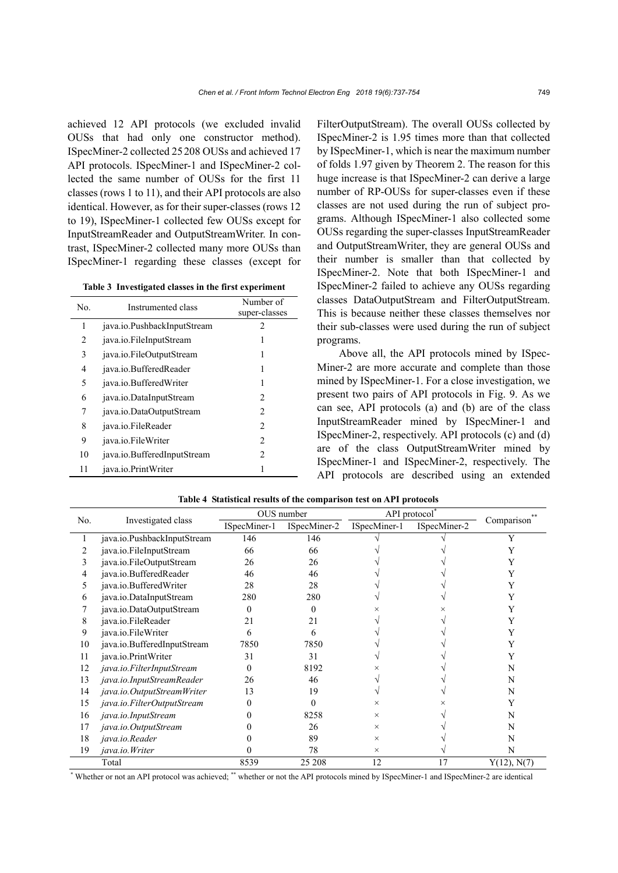achieved 12 API protocols (we excluded invalid OUSs that had only one constructor method). ISpecMiner-2 collected 25208 OUSs and achieved 17 API protocols. ISpecMiner-1 and ISpecMiner-2 collected the same number of OUSs for the first 11 classes (rows 1 to 11), and their API protocols are also identical. However, as for their super-classes (rows 12 to 19), ISpecMiner-1 collected few OUSs except for InputStreamReader and OutputStreamWriter. In contrast, ISpecMiner-2 collected many more OUSs than ISpecMiner-1 regarding these classes (except for

**Table 3 Investigated classes in the first experiment**

| No. | Instrumented class          | Number of<br>super-classes |
|-----|-----------------------------|----------------------------|
| 1   | java.io.PushbackInputStream | $\mathfrak{D}$             |
| 2   | java.io.FileInputStream     |                            |
| 3   | java.io.FileOutputStream    |                            |
| 4   | java.io.BufferedReader      | 1                          |
| 5   | java.io.BufferedWriter      | 1                          |
| 6   | java.io.DataInputStream     | 2                          |
| 7   | java.io.DataOutputStream    | 2                          |
| 8   | java.jo.FileReader          | $\mathfrak{D}$             |
| 9   | java.jo.FileWriter          | 2                          |
| 10  | java.io.BufferedInputStream | $\mathfrak{D}$             |
| 11  | java.io.PrintWriter         |                            |

FilterOutputStream). The overall OUSs collected by ISpecMiner-2 is 1.95 times more than that collected by ISpecMiner-1, which is near the maximum number of folds 1.97 given by Theorem 2. The reason for this huge increase is that ISpecMiner-2 can derive a large number of RP-OUSs for super-classes even if these classes are not used during the run of subject programs. Although ISpecMiner-1 also collected some OUSs regarding the super-classes InputStreamReader and OutputStreamWriter, they are general OUSs and their number is smaller than that collected by ISpecMiner-2. Note that both ISpecMiner-1 and ISpecMiner-2 failed to achieve any OUSs regarding classes DataOutputStream and FilterOutputStream. This is because neither these classes themselves nor their sub-classes were used during the run of subject programs.

Above all, the API protocols mined by ISpec-Miner-2 are more accurate and complete than those mined by ISpecMiner-1. For a close investigation, we present two pairs of API protocols in Fig. 9. As we can see, API protocols (a) and (b) are of the class InputStreamReader mined by ISpecMiner-1 and ISpecMiner-2, respectively. API protocols (c) and (d) are of the class OutputStreamWriter mined by ISpecMiner-1 and ISpecMiner-2, respectively. The API protocols are described using an extended

|     |                             | OUS number   |              | API protocol <sup>*</sup> |              |                         |
|-----|-----------------------------|--------------|--------------|---------------------------|--------------|-------------------------|
| No. | Investigated class          | ISpecMiner-1 | ISpecMiner-2 | ISpecMiner-1              | ISpecMiner-2 | Comparison <sup>®</sup> |
|     | java.io.PushbackInputStream | 146          | 146          |                           |              |                         |
|     | java.io.FileInputStream     | 66           | 66           |                           |              |                         |
|     | java.io.FileOutputStream    | 26           | 26           |                           |              |                         |
| 4   | java.io.BufferedReader      | 46           | 46           |                           |              |                         |
|     | java.io.BufferedWriter      | 28           | 28           |                           |              |                         |
| 6   | java.io.DataInputStream     | 280          | 280          |                           |              |                         |
|     | java.io.DataOutputStream    | 0            | 0            |                           |              |                         |
| 8   | java.io.FileReader          | 21           | 21           |                           |              |                         |
| 9   | java.io.FileWriter          | 6            | 6            |                           |              |                         |
| 10  | java.io.BufferedInputStream | 7850         | 7850         |                           |              |                         |
| 11  | java.io.PrintWriter         | 31           | 31           |                           |              |                         |
| 12  | java.io.FilterInputStream   | $\theta$     | 8192         |                           |              | N                       |
| 13  | java.io.InputStreamReader   | 26           | 46           |                           |              | N                       |
| 14  | java.io.OutputStreamWriter  | 13           | 19           |                           |              | N                       |
| 15  | java.io.FilterOutputStream  | 0            | 0            | ×                         |              |                         |
| 16  | java.io.InputStream         |              | 8258         | $\times$                  |              | N                       |
| 17  | java.io.OutputStream        |              | 26           | $\times$                  |              | N                       |
| 18  | java.io.Reader              |              | 89           | $\times$                  |              | N                       |
| 19  | java.io.Writer              |              | 78           | $\times$                  |              | N                       |
|     | Total                       | 8539         | 25 208       | 12                        | 17           | Y(12), N(7)             |

**Table 4 Statistical results of the comparison test on API protocols**

\* Whether or not an API protocol was achieved; \*\* whether or not the API protocols mined by ISpecMiner-1 and ISpecMiner-2 are identical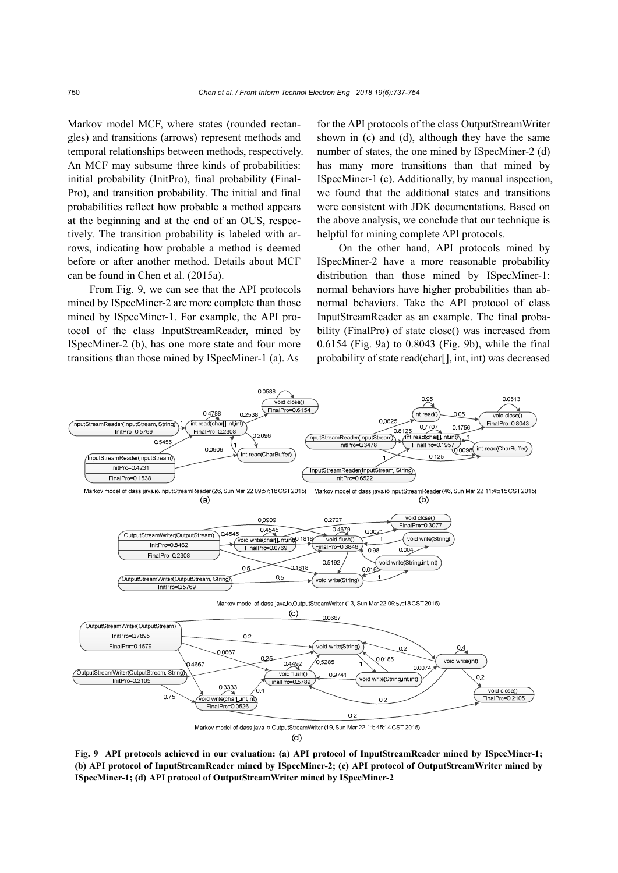Markov model MCF, where states (rounded rectangles) and transitions (arrows) represent methods and temporal relationships between methods, respectively. An MCF may subsume three kinds of probabilities: initial probability (InitPro), final probability (Final-Pro), and transition probability. The initial and final probabilities reflect how probable a method appears at the beginning and at the end of an OUS, respectively. The transition probability is labeled with arrows, indicating how probable a method is deemed before or after another method. Details about MCF can be found in Chen et al. (2015a).

From Fig. 9, we can see that the API protocols mined by ISpecMiner-2 are more complete than those mined by ISpecMiner-1. For example, the API protocol of the class InputStreamReader, mined by ISpecMiner-2 (b), has one more state and four more transitions than those mined by ISpecMiner-1 (a). As

for the API protocols of the class OutputStreamWriter shown in (c) and (d), although they have the same number of states, the one mined by ISpecMiner-2 (d) has many more transitions than that mined by ISpecMiner-1 (c). Additionally, by manual inspection, we found that the additional states and transitions were consistent with JDK documentations. Based on the above analysis, we conclude that our technique is helpful for mining complete API protocols.

On the other hand, API protocols mined by ISpecMiner-2 have a more reasonable probability distribution than those mined by ISpecMiner-1: normal behaviors have higher probabilities than abnormal behaviors. Take the API protocol of class InputStreamReader as an example. The final probability (FinalPro) of state close() was increased from 0.6154 (Fig. 9a) to 0.8043 (Fig. 9b), while the final probability of state read(char[], int, int) was decreased



**Fig. 9 API protocols achieved in our evaluation: (a) API protocol of InputStreamReader mined by ISpecMiner-1; (b) API protocol of InputStreamReader mined by ISpecMiner-2; (c) API protocol of OutputStreamWriter mined by ISpecMiner-1; (d) API protocol of OutputStreamWriter mined by ISpecMiner-2**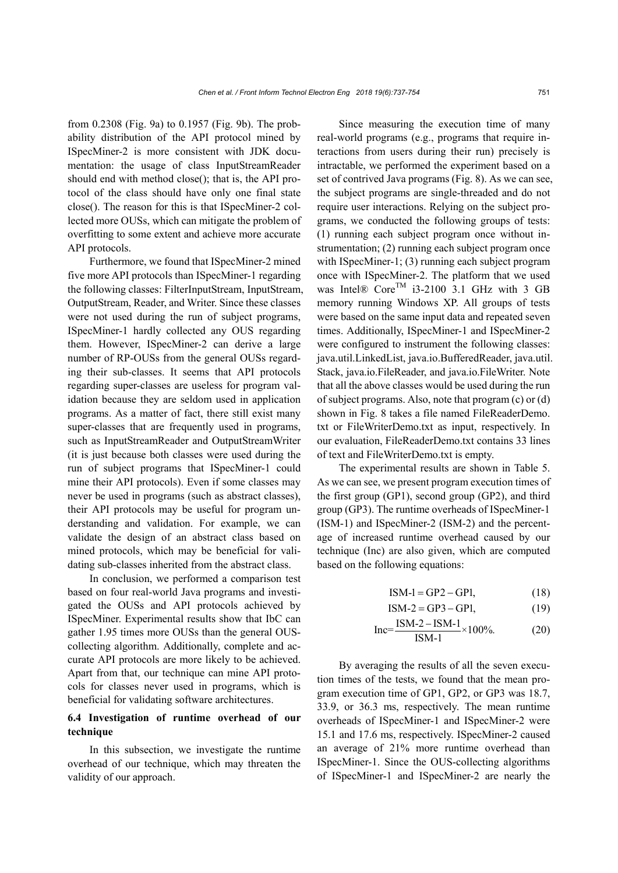from 0.2308 (Fig. 9a) to 0.1957 (Fig. 9b). The probability distribution of the API protocol mined by ISpecMiner-2 is more consistent with JDK documentation: the usage of class InputStreamReader should end with method close(); that is, the API protocol of the class should have only one final state close(). The reason for this is that ISpecMiner-2 collected more OUSs, which can mitigate the problem of overfitting to some extent and achieve more accurate API protocols.

Furthermore, we found that ISpecMiner-2 mined five more API protocols than ISpecMiner-1 regarding the following classes: FilterInputStream, InputStream, OutputStream, Reader, and Writer. Since these classes were not used during the run of subject programs, ISpecMiner-1 hardly collected any OUS regarding them. However, ISpecMiner-2 can derive a large number of RP-OUSs from the general OUSs regarding their sub-classes. It seems that API protocols regarding super-classes are useless for program validation because they are seldom used in application programs. As a matter of fact, there still exist many super-classes that are frequently used in programs, such as InputStreamReader and OutputStreamWriter (it is just because both classes were used during the run of subject programs that ISpecMiner-1 could mine their API protocols). Even if some classes may never be used in programs (such as abstract classes), their API protocols may be useful for program understanding and validation. For example, we can validate the design of an abstract class based on mined protocols, which may be beneficial for validating sub-classes inherited from the abstract class.

In conclusion, we performed a comparison test based on four real-world Java programs and investigated the OUSs and API protocols achieved by ISpecMiner. Experimental results show that IbC can gather 1.95 times more OUSs than the general OUScollecting algorithm. Additionally, complete and accurate API protocols are more likely to be achieved. Apart from that, our technique can mine API protocols for classes never used in programs, which is beneficial for validating software architectures.

# **6.4 Investigation of runtime overhead of our technique**

In this subsection, we investigate the runtime overhead of our technique, which may threaten the validity of our approach.

Since measuring the execution time of many real-world programs (e.g., programs that require interactions from users during their run) precisely is intractable, we performed the experiment based on a set of contrived Java programs (Fig. 8). As we can see, the subject programs are single-threaded and do not require user interactions. Relying on the subject programs, we conducted the following groups of tests: (1) running each subject program once without instrumentation; (2) running each subject program once with ISpecMiner-1; (3) running each subject program once with ISpecMiner-2. The platform that we used was Intel®  $Core^{TM}$  i3-2100 3.1 GHz with 3 GB memory running Windows XP. All groups of tests were based on the same input data and repeated seven times. Additionally, ISpecMiner-1 and ISpecMiner-2 were configured to instrument the following classes: java.util.LinkedList, java.io.BufferedReader, java.util. Stack, java.io.FileReader, and java.io.FileWriter. Note that all the above classes would be used during the run of subject programs. Also, note that program (c) or (d) shown in Fig. 8 takes a file named FileReaderDemo. txt or FileWriterDemo.txt as input, respectively. In our evaluation, FileReaderDemo.txt contains 33 lines of text and FileWriterDemo.txt is empty.

The experimental results are shown in Table 5. As we can see, we present program execution times of the first group (GP1), second group (GP2), and third group (GP3). The runtime overheads of ISpecMiner-1 (ISM-1) and ISpecMiner-2 (ISM-2) and the percentage of increased runtime overhead caused by our technique (Inc) are also given, which are computed based on the following equations:

$$
ISM-1 = GP2 - GP1, \t(18)
$$

$$
ISM-2 = GP3 - GP1, \t(19)
$$

$$
Inc = \frac{ISM - 2 - ISM - 1}{ISM - 1} \times 100\%.
$$
 (20)

By averaging the results of all the seven execution times of the tests, we found that the mean program execution time of GP1, GP2, or GP3 was 18.7, 33.9, or 36.3 ms, respectively. The mean runtime overheads of ISpecMiner-1 and ISpecMiner-2 were 15.1 and 17.6 ms, respectively. ISpecMiner-2 caused an average of 21% more runtime overhead than ISpecMiner-1. Since the OUS-collecting algorithms of ISpecMiner-1 and ISpecMiner-2 are nearly the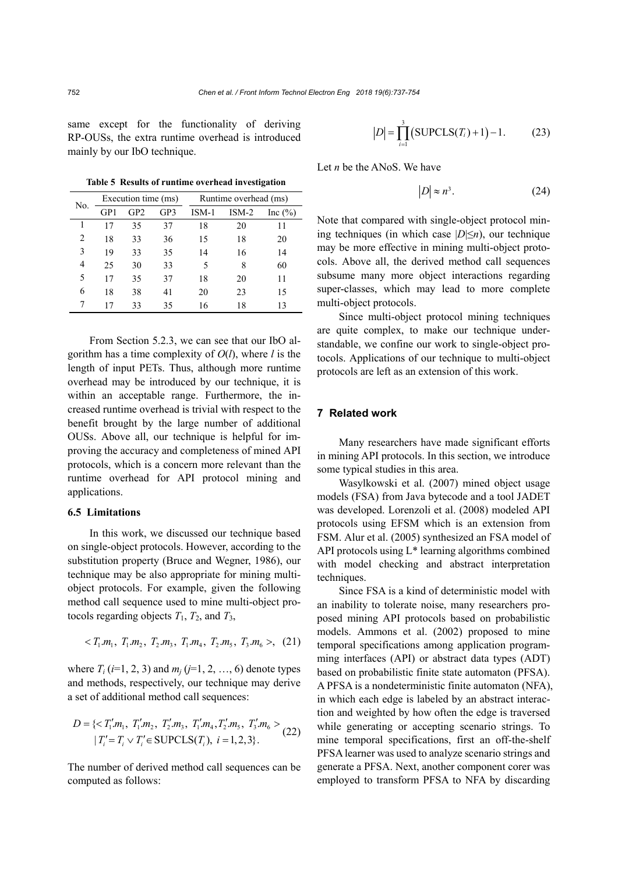same except for the functionality of deriving RP-OUSs, the extra runtime overhead is introduced mainly by our IbO technique.

| No. | Execution time (ms) |                 |     | Runtime overhead (ms) |         |             |
|-----|---------------------|-----------------|-----|-----------------------|---------|-------------|
|     | GP1                 | GP <sub>2</sub> | GP3 | ISM-1                 | $ISM-2$ | Inc $(\% )$ |
|     |                     | 35              | 37  | 18                    | 20      | 11          |
| 2   | 18                  | 33              | 36  | 15                    | 18      | 20          |
| 3   | 19                  | 33              | 35  | 14                    | 16      | 14          |
| 4   | 25                  | 30              | 33  | 5                     | 8       | 60          |
| 5   | 17                  | 35              | 37  | 18                    | 20      | 11          |
| 6   | 18                  | 38              | 41  | 20                    | 23      | 15          |
| 7   | 17                  | 33              | 35  | 16                    | 18      | 13          |

**Table 5 Results of runtime overhead investigation** 

From Section 5.2.3, we can see that our IbO algorithm has a time complexity of *O*(*l*), where *l* is the length of input PETs. Thus, although more runtime overhead may be introduced by our technique, it is within an acceptable range. Furthermore, the increased runtime overhead is trivial with respect to the benefit brought by the large number of additional OUSs. Above all, our technique is helpful for improving the accuracy and completeness of mined API protocols, which is a concern more relevant than the runtime overhead for API protocol mining and applications.

# **6.5 Limitations**

In this work, we discussed our technique based on single-object protocols. However, according to the substitution property (Bruce and Wegner, 1986), our technique may be also appropriate for mining multiobject protocols. For example, given the following method call sequence used to mine multi-object protocols regarding objects  $T_1$ ,  $T_2$ , and  $T_3$ ,

$$
\langle T_1.m_1, T_1.m_2, T_2.m_3, T_1.m_4, T_2.m_5, T_3.m_6 \rangle, (21)
$$

where  $T_i$  (*i*=1, 2, 3) and  $m_i$  (*j*=1, 2, …, 6) denote types and methods, respectively, our technique may derive a set of additional method call sequences:

$$
D = \{ \langle T_1'm_1, T_1'm_2, T_2'm_3, T_1'm_4, T_2'm_5, T_3'm_6 \rangle \mid T_i' = T_i \vee T_i' \in \text{SUPCLS}(T_i), \ i = 1, 2, 3 \}.
$$
 (22)

The number of derived method call sequences can be computed as follows:

$$
|D| = \prod_{i=1}^{3} (SUPCLS(T_i) + 1) - 1.
$$
 (23)

Let *n* be the ANoS. We have

$$
|D| \approx n^3. \tag{24}
$$

Note that compared with single-object protocol mining techniques (in which case  $|D| \leq n$ ), our technique may be more effective in mining multi-object protocols. Above all, the derived method call sequences subsume many more object interactions regarding super-classes, which may lead to more complete multi-object protocols.

Since multi-object protocol mining techniques are quite complex, to make our technique understandable, we confine our work to single-object protocols. Applications of our technique to multi-object protocols are left as an extension of this work.

# **7 Related work**

Many researchers have made significant efforts in mining API protocols. In this section, we introduce some typical studies in this area.

Wasylkowski et al. (2007) mined object usage models (FSA) from Java bytecode and a tool JADET was developed. Lorenzoli et al. (2008) modeled API protocols using EFSM which is an extension from FSM. Alur et al. (2005) synthesized an FSA model of API protocols using L\* learning algorithms combined with model checking and abstract interpretation techniques.

Since FSA is a kind of deterministic model with an inability to tolerate noise, many researchers proposed mining API protocols based on probabilistic models. Ammons et al. (2002) proposed to mine temporal specifications among application programming interfaces (API) or abstract data types (ADT) based on probabilistic finite state automaton (PFSA). A PFSA is a nondeterministic finite automaton (NFA), in which each edge is labeled by an abstract interaction and weighted by how often the edge is traversed while generating or accepting scenario strings. To mine temporal specifications, first an off-the-shelf PFSA learner was used to analyze scenario strings and generate a PFSA. Next, another component corer was employed to transform PFSA to NFA by discarding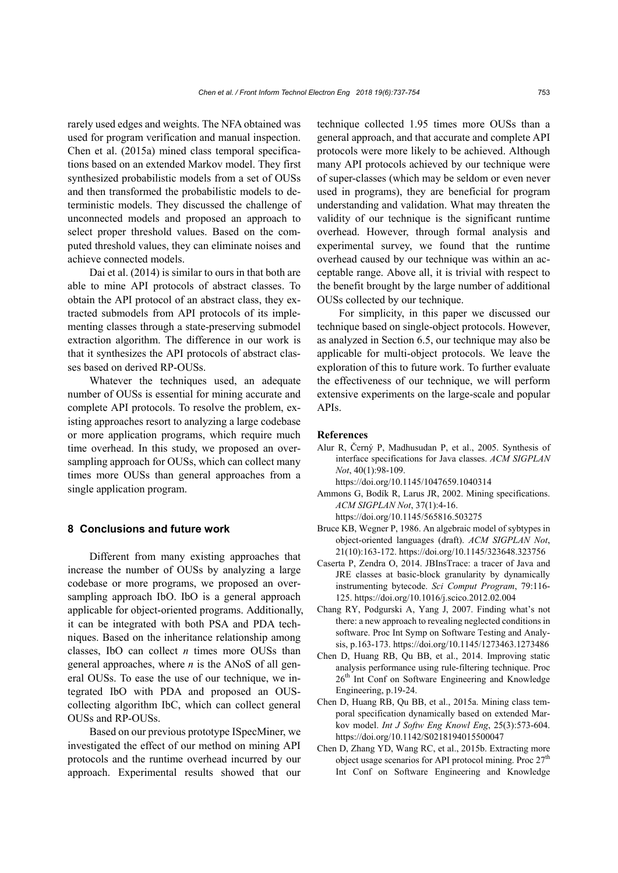rarely used edges and weights. The NFA obtained was used for program verification and manual inspection. Chen et al. (2015a) mined class temporal specifications based on an extended Markov model. They first synthesized probabilistic models from a set of OUSs and then transformed the probabilistic models to deterministic models. They discussed the challenge of unconnected models and proposed an approach to select proper threshold values. Based on the computed threshold values, they can eliminate noises and achieve connected models.

Dai et al. (2014) is similar to ours in that both are able to mine API protocols of abstract classes. To obtain the API protocol of an abstract class, they extracted submodels from API protocols of its implementing classes through a state-preserving submodel extraction algorithm. The difference in our work is that it synthesizes the API protocols of abstract classes based on derived RP-OUSs.

Whatever the techniques used, an adequate number of OUSs is essential for mining accurate and complete API protocols. To resolve the problem, existing approaches resort to analyzing a large codebase or more application programs, which require much time overhead. In this study, we proposed an oversampling approach for OUSs, which can collect many times more OUSs than general approaches from a single application program.

## **8 Conclusions and future work**

Different from many existing approaches that increase the number of OUSs by analyzing a large codebase or more programs, we proposed an oversampling approach IbO. IbO is a general approach applicable for object-oriented programs. Additionally, it can be integrated with both PSA and PDA techniques. Based on the inheritance relationship among classes, IbO can collect *n* times more OUSs than general approaches, where *n* is the ANoS of all general OUSs. To ease the use of our technique, we integrated IbO with PDA and proposed an OUScollecting algorithm IbC, which can collect general OUSs and RP-OUSs.

Based on our previous prototype ISpecMiner, we investigated the effect of our method on mining API protocols and the runtime overhead incurred by our approach. Experimental results showed that our technique collected 1.95 times more OUSs than a general approach, and that accurate and complete API protocols were more likely to be achieved. Although many API protocols achieved by our technique were of super-classes (which may be seldom or even never used in programs), they are beneficial for program understanding and validation. What may threaten the validity of our technique is the significant runtime overhead. However, through formal analysis and experimental survey, we found that the runtime overhead caused by our technique was within an acceptable range. Above all, it is trivial with respect to the benefit brought by the large number of additional OUSs collected by our technique.

For simplicity, in this paper we discussed our technique based on single-object protocols. However, as analyzed in Section 6.5, our technique may also be applicable for multi-object protocols. We leave the exploration of this to future work. To further evaluate the effectiveness of our technique, we will perform extensive experiments on the large-scale and popular APIs.

#### **References**

Alur R, Černý P, Madhusudan P, et al., 2005. Synthesis of interface specifications for Java classes. *ACM SIGPLAN Not*, 40(1):98-109.

https://doi.org/10.1145/1047659.1040314

- Ammons G, Bodík R, Larus JR, 2002. Mining specifications. *ACM SIGPLAN Not*, 37(1):4-16.
- https://doi.org/10.1145/565816.503275 Bruce KB, Wegner P, 1986. An algebraic model of sybtypes in object-oriented languages (draft). *ACM SIGPLAN Not*, 21(10):163-172. https://doi.org/10.1145/323648.323756
- Caserta P, Zendra O, 2014. JBInsTrace: a tracer of Java and JRE classes at basic-block granularity by dynamically instrumenting bytecode. *Sci Comput Program*, 79:116- 125. https://doi.org/10.1016/j.scico.2012.02.004
- Chang RY, Podgurski A, Yang J, 2007. Finding what's not there: a new approach to revealing neglected conditions in software. Proc Int Symp on Software Testing and Analysis, p.163-173. https://doi.org/10.1145/1273463.1273486
- Chen D, Huang RB, Qu BB, et al., 2014. Improving static analysis performance using rule-filtering technique. Proc 26th Int Conf on Software Engineering and Knowledge Engineering, p.19-24.
- Chen D, Huang RB, Qu BB, et al., 2015a. Mining class temporal specification dynamically based on extended Markov model. *Int J Softw Eng Knowl Eng*, 25(3):573-604. https://doi.org/10.1142/S0218194015500047
- Chen D, Zhang YD, Wang RC, et al., 2015b. Extracting more object usage scenarios for API protocol mining. Proc  $27<sup>th</sup>$ Int Conf on Software Engineering and Knowledge